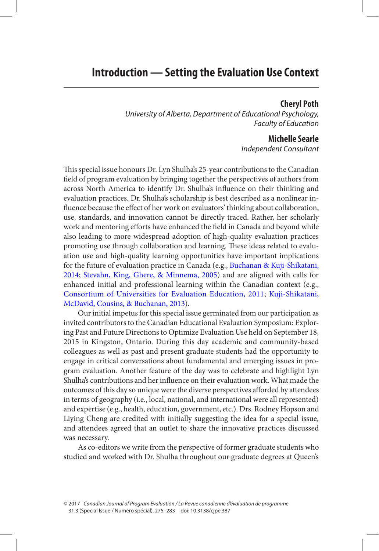#### **Cheryl Poth**

<span id="page-0-0"></span> University of Alberta, Department of Educational Psychology, Faculty of Education

### **Michelle Searle**

Independent Consultant

This special issue honours Dr. Lyn Shulha's 25-year contributions to the Canadian field of program evaluation by bringing together the perspectives of authors from across North America to identify Dr. Shulha's influence on their thinking and evaluation practices. Dr. Shulha's scholarship is best described as a nonlinear influence because the effect of her work on evaluators' thinking about collaboration, use, standards, and innovation cannot be directly traced. Rather, her scholarly work and mentoring efforts have enhanced the field in Canada and beyond while also leading to more widespread adoption of high-quality evaluation practices promoting use through collaboration and learning. These ideas related to evaluation use and high-quality learning opportunities have important implications for the future of evaluation practice in Canada (e.g., [Buchanan & Kuji-Shikatani,](#page-7-0)  [2014](#page-7-0); [Stevahn, King, Ghere, & Minnema, 2005](#page-8-0)) and are aligned with calls for enhanced initial and professional learning within the Canadian context (e.g., Consortium of Universities for Evaluation Education, 2011; [Kuji-Shikatani,](#page-7-0) [McDavid, Cousins, & Buchanan, 2013](#page-7-0) ).

 Our initial impetus for this special issue germinated from our participation as invited contributors to the Canadian Educational Evaluation Symposium: Exploring Past and Future Directions to Optimize Evaluation Use held on September 18, 2015 in Kingston, Ontario. During this day academic and community-based colleagues as well as past and present graduate students had the opportunity to engage in critical conversations about fundamental and emerging issues in program evaluation. Another feature of the day was to celebrate and highlight Lyn Shulha's contributions and her influence on their evaluation work. What made the outcomes of this day so unique were the diverse perspectives afforded by attendees in terms of geography (i.e., local, national, and international were all represented) and expertise (e.g., health, education, government, etc.). Drs. Rodney Hopson and Liying Cheng are credited with initially suggesting the idea for a special issue, and attendees agreed that an outlet to share the innovative practices discussed was necessary.

 As co-editors we write from the perspective of former graduate students who studied and worked with Dr. Shulha throughout our graduate degrees at Queen's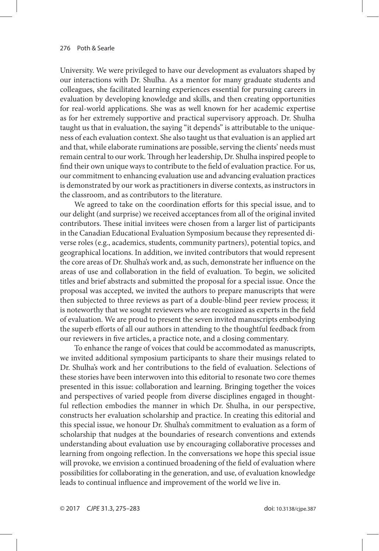University. We were privileged to have our development as evaluators shaped by our interactions with Dr. Shulha. As a mentor for many graduate students and colleagues, she facilitated learning experiences essential for pursuing careers in evaluation by developing knowledge and skills, and then creating opportunities for real-world applications. She was as well known for her academic expertise as for her extremely supportive and practical supervisory approach. Dr. Shulha taught us that in evaluation, the saying "it depends" is attributable to the uniqueness of each evaluation context. She also taught us that evaluation is an applied art and that, while elaborate ruminations are possible, serving the clients' needs must remain central to our work. Through her leadership, Dr. Shulha inspired people to find their own unique ways to contribute to the field of evaluation practice. For us, our commitment to enhancing evaluation use and advancing evaluation practices is demonstrated by our work as practitioners in diverse contexts, as instructors in the classroom, and as contributors to the literature.

We agreed to take on the coordination efforts for this special issue, and to our delight (and surprise) we received acceptances from all of the original invited contributors. These initial invitees were chosen from a larger list of participants in the Canadian Educational Evaluation Symposium because they represented diverse roles (e.g., academics, students, community partners), potential topics, and geographical locations. In addition, we invited contributors that would represent the core areas of Dr. Shulha's work and, as such, demonstrate her influence on the areas of use and collaboration in the field of evaluation. To begin, we solicited titles and brief abstracts and submitted the proposal for a special issue. Once the proposal was accepted, we invited the authors to prepare manuscripts that were then subjected to three reviews as part of a double-blind peer review process; it is noteworthy that we sought reviewers who are recognized as experts in the field of evaluation. We are proud to present the seven invited manuscripts embodying the superb efforts of all our authors in attending to the thoughtful feedback from our reviewers in five articles, a practice note, and a closing commentary.

 To enhance the range of voices that could be accommodated as manuscripts, we invited additional symposium participants to share their musings related to Dr. Shulha's work and her contributions to the field of evaluation. Selections of these stories have been interwoven into this editorial to resonate two core themes presented in this issue: collaboration and learning. Bringing together the voices and perspectives of varied people from diverse disciplines engaged in thoughtful reflection embodies the manner in which Dr. Shulha, in our perspective, constructs her evaluation scholarship and practice. In creating this editorial and this special issue, we honour Dr. Shulha's commitment to evaluation as a form of scholarship that nudges at the boundaries of research conventions and extends understanding about evaluation use by encouraging collaborative processes and learning from ongoing reflection. In the conversations we hope this special issue will provoke, we envision a continued broadening of the field of evaluation where possibilities for collaborating in the generation, and use, of evaluation knowledge leads to continual influence and improvement of the world we live in.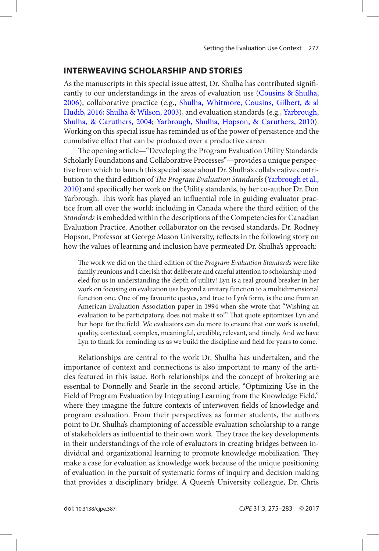### <span id="page-2-0"></span> **INTERWEAVING SCHOLARSHIP AND STORIES**

As the manuscripts in this special issue attest, Dr. Shulha has contributed significantly to our understandings in the areas of evaluation use (Cousins & Shulha, [2006](#page-7-0) ), collaborative practice (e.g., [Shulha, Whitmore, Cousins, Gilbert, & al](#page-8-0) [Hudib, 2016](#page-8-0); [Shulha & Wilson, 2003](#page-8-0)), and evaluation standards (e.g., Yarbrough, Shulha, & Caruthers, 2004; Yarbrough, Shulha, Hopson, & Caruthers, 2010). Working on this special issue has reminded us of the power of persistence and the cumulative effect that can be produced over a productive career.

The opening article—"Developing the Program Evaluation Utility Standards: Scholarly Foundations and Collaborative Processes"—provides a unique perspective from which to launch this special issue about Dr. Shulha's collaborative contribution to the third edition of The Program Evaluation Standards (Yarbrough et al., [2010](#page-8-0)) and specifically her work on the Utility standards, by her co-author Dr. Don Yarbrough. This work has played an influential role in guiding evaluator practice from all over the world; including in Canada where the third edition of the Standards is embedded within the descriptions of the Competencies for Canadian Evaluation Practice. Another collaborator on the revised standards, Dr. Rodney Hopson, Professor at George Mason University, reflects in the following story on how the values of learning and inclusion have permeated Dr. Shulha's approach:

The work we did on the third edition of the Program Evaluation Standards were like family reunions and I cherish that deliberate and careful attention to scholarship modeled for us in understanding the depth of utility! Lyn is a real ground breaker in her work on focusing on evaluation use beyond a unitary function to a multidimensional function one. One of my favourite quotes, and true to Lyn's form, is the one from an American Evaluation Association paper in 1994 when she wrote that "Wishing an evaluation to be participatory, does not make it so!" That quote epitomizes Lyn and her hope for the field. We evaluators can do more to ensure that our work is useful, quality, contextual, complex, meaningful, credible, relevant, and timely. And we have Lyn to thank for reminding us as we build the discipline and field for years to come.

 Relationships are central to the work Dr. Shulha has undertaken, and the importance of context and connections is also important to many of the articles featured in this issue. Both relationships and the concept of brokering are essential to Donnelly and Searle in the second article, "Optimizing Use in the Field of Program Evaluation by Integrating Learning from the Knowledge Field," where they imagine the future contexts of interwoven fields of knowledge and program evaluation. From their perspectives as former students, the authors point to Dr. Shulha's championing of accessible evaluation scholarship to a range of stakeholders as influential to their own work. They trace the key developments in their understandings of the role of evaluators in creating bridges between individual and organizational learning to promote knowledge mobilization. They make a case for evaluation as knowledge work because of the unique positioning of evaluation in the pursuit of systematic forms of inquiry and decision making that provides a disciplinary bridge. A Queen's University colleague, Dr. Chris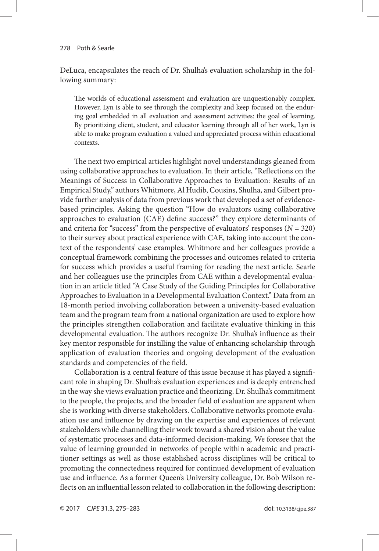DeLuca, encapsulates the reach of Dr. Shulha's evaluation scholarship in the following summary:

The worlds of educational assessment and evaluation are unquestionably complex. However, Lyn is able to see through the complexity and keep focused on the enduring goal embedded in all evaluation and assessment activities: the goal of learning. By prioritizing client, student, and educator learning through all of her work, Lyn is able to make program evaluation a valued and appreciated process within educational contexts.

The next two empirical articles highlight novel understandings gleaned from using collaborative approaches to evaluation. In their article, "Reflections on the Meanings of Success in Collaborative Approaches to Evaluation: Results of an Empirical Study," authors Whitmore, Al Hudib, Cousins, Shulha, and Gilbert provide further analysis of data from previous work that developed a set of evidencebased principles. Asking the question "How do evaluators using collaborative approaches to evaluation (CAE) define success?" they explore determinants of and criteria for "success" from the perspective of evaluators' responses ( $N = 320$ ) to their survey about practical experience with CAE, taking into account the context of the respondents' case examples. Whitmore and her colleagues provide a conceptual framework combining the processes and outcomes related to criteria for success which provides a useful framing for reading the next article. Searle and her colleagues use the principles from CAE within a developmental evaluation in an article titled "A Case Study of the Guiding Principles for Collaborative Approaches to Evaluation in a Developmental Evaluation Context." Data from an 18-month period involving collaboration between a university-based evaluation team and the program team from a national organization are used to explore how the principles strengthen collaboration and facilitate evaluative thinking in this developmental evaluation. The authors recognize Dr. Shulha's influence as their key mentor responsible for instilling the value of enhancing scholarship through application of evaluation theories and ongoing development of the evaluation standards and competencies of the field.

 Collaboration is a central feature of this issue because it has played a signifi cant role in shaping Dr. Shulha's evaluation experiences and is deeply entrenched in the way she views evaluation practice and theorizing. Dr. Shulha's commitment to the people, the projects, and the broader field of evaluation are apparent when she is working with diverse stakeholders. Collaborative networks promote evaluation use and influence by drawing on the expertise and experiences of relevant stakeholders while channelling their work toward a shared vision about the value of systematic processes and data-informed decision-making. We foresee that the value of learning grounded in networks of people within academic and practitioner settings as well as those established across disciplines will be critical to promoting the connectedness required for continued development of evaluation use and influence. As a former Queen's University colleague, Dr. Bob Wilson reflects on an influential lesson related to collaboration in the following description: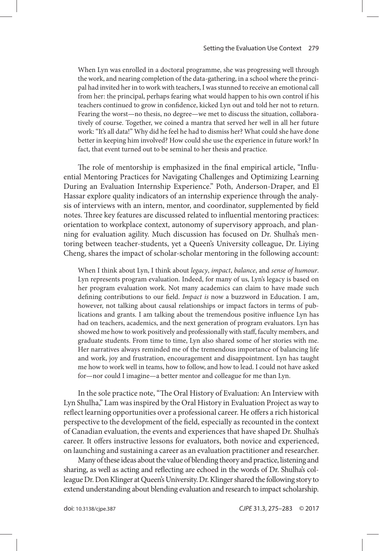When Lyn was enrolled in a doctoral programme, she was progressing well through the work, and nearing completion of the data-gathering, in a school where the principal had invited her in to work with teachers, I was stunned to receive an emotional call from her: the principal, perhaps fearing what would happen to his own control if his teachers continued to grow in confidence, kicked Lyn out and told her not to return. Fearing the worst—no thesis, no degree—we met to discuss the situation, collaboratively of course. Together, we coined a mantra that served her well in all her future work: "It's all data!" Why did he feel he had to dismiss her? What could she have done better in keeping him involved? How could she use the experience in future work? In fact, that event turned out to be seminal to her thesis and practice.

The role of mentorship is emphasized in the final empirical article, "Influential Mentoring Practices for Navigating Challenges and Optimizing Learning During an Evaluation Internship Experience." Poth, Anderson-Draper, and El Hassar explore quality indicators of an internship experience through the analysis of interviews with an intern, mentor, and coordinator, supplemented by field notes. Three key features are discussed related to influential mentoring practices: orientation to workplace context, autonomy of supervisory approach, and planning for evaluation agility. Much discussion has focused on Dr. Shulha's mentoring between teacher-students, yet a Queen's University colleague, Dr. Liying Cheng, shares the impact of scholar-scholar mentoring in the following account:

When I think about Lyn, I think about legacy, impact, balance, and sense of humour. Lyn represents program evaluation. Indeed, for many of us, Lyn's legacy is based on her program evaluation work. Not many academics can claim to have made such defining contributions to our field. Impact is now a buzzword in Education. I am, however, not talking about causal relationships or impact factors in terms of publications and grants. I am talking about the tremendous positive influence Lyn has had on teachers, academics, and the next generation of program evaluators. Lyn has showed me how to work positively and professionally with staff, faculty members, and graduate students. From time to time, Lyn also shared some of her stories with me. Her narratives always reminded me of the tremendous importance of balancing life and work, joy and frustration, encouragement and disappointment. Lyn has taught me how to work well in teams, how to follow, and how to lead. I could not have asked for—nor could I imagine—a better mentor and colleague for me than Lyn.

In the sole practice note, "The Oral History of Evaluation: An Interview with Lyn Shulha," Lam was inspired by the Oral History in Evaluation Project as way to reflect learning opportunities over a professional career. He offers a rich historical perspective to the development of the field, especially as recounted in the context of Canadian evaluation, the events and experiences that have shaped Dr. Shulha's career. It offers instructive lessons for evaluators, both novice and experienced, on launching and sustaining a career as an evaluation practitioner and researcher.

 Many of these ideas about the value of blending theory and practice, listening and sharing, as well as acting and reflecting are echoed in the words of Dr. Shulha's colleague Dr. Don Klinger at Queen's University. Dr. Klinger shared the following story to extend understanding about blending evaluation and research to impact scholarship.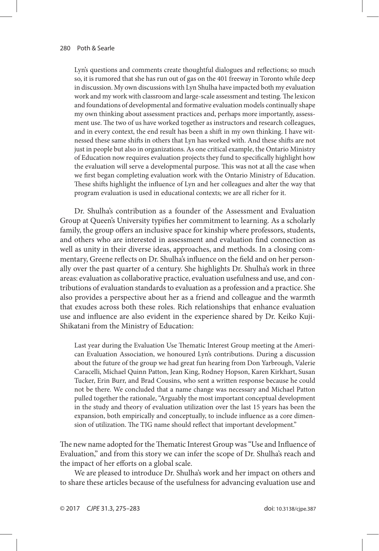Lyn's questions and comments create thoughtful dialogues and reflections; so much so, it is rumored that she has run out of gas on the 401 freeway in Toronto while deep in discussion. My own discussions with Lyn Shulha have impacted both my evaluation work and my work with classroom and large-scale assessment and testing. The lexicon and foundations of developmental and formative evaluation models continually shape my own thinking about assessment practices and, perhaps more importantly, assessment use. The two of us have worked together as instructors and research colleagues, and in every context, the end result has been a shift in my own thinking. I have witnessed these same shifts in others that Lyn has worked with. And these shifts are not just in people but also in organizations. As one critical example, the Ontario Ministry of Education now requires evaluation projects they fund to specifically highlight how the evaluation will serve a developmental purpose. This was not at all the case when we first began completing evaluation work with the Ontario Ministry of Education. These shifts highlight the influence of Lyn and her colleagues and alter the way that program evaluation is used in educational contexts; we are all richer for it.

 Dr. Shulha's contribution as a founder of the Assessment and Evaluation Group at Queen's University typifies her commitment to learning. As a scholarly family, the group offers an inclusive space for kinship where professors, students, and others who are interested in assessment and evaluation find connection as well as unity in their diverse ideas, approaches, and methods. In a closing commentary, Greene reflects on Dr. Shulha's influence on the field and on her personally over the past quarter of a century. She highlights Dr. Shulha's work in three areas: evaluation as collaborative practice, evaluation usefulness and use, and contributions of evaluation standards to evaluation as a profession and a practice. She also provides a perspective about her as a friend and colleague and the warmth that exudes across both these roles. Rich relationships that enhance evaluation use and influence are also evident in the experience shared by Dr. Keiko Kuji-Shikatani from the Ministry of Education:

Last year during the Evaluation Use Thematic Interest Group meeting at the American Evaluation Association, we honoured Lyn's contributions. During a discussion about the future of the group we had great fun hearing from Don Yarbrough, Valerie Caracelli, Michael Quinn Patton, Jean King, Rodney Hopson, Karen Kirkhart, Susan Tucker, Erin Burr, and Brad Cousins, who sent a written response because he could not be there. We concluded that a name change was necessary and Michael Patton pulled together the rationale, "Arguably the most important conceptual development in the study and theory of evaluation utilization over the last 15 years has been the expansion, both empirically and conceptually, to include influence as a core dimension of utilization. The TIG name should reflect that important development."

The new name adopted for the Thematic Interest Group was "Use and Influence of Evaluation," and from this story we can infer the scope of Dr. Shulha's reach and the impact of her efforts on a global scale.

 We are pleased to introduce Dr. Shulha's work and her impact on others and to share these articles because of the usefulness for advancing evaluation use and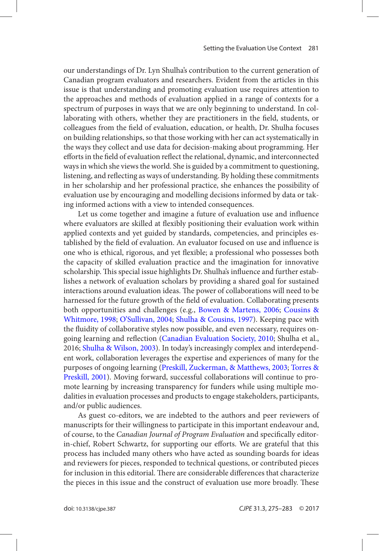<span id="page-6-0"></span>our understandings of Dr. Lyn Shulha's contribution to the current generation of Canadian program evaluators and researchers. Evident from the articles in this issue is that understanding and promoting evaluation use requires attention to the approaches and methods of evaluation applied in a range of contexts for a spectrum of purposes in ways that we are only beginning to understand. In collaborating with others, whether they are practitioners in the field, students, or colleagues from the field of evaluation, education, or health, Dr. Shulha focuses on building relationships, so that those working with her can act systematically in the ways they collect and use data for decision-making about programming. Her efforts in the field of evaluation reflect the relational, dynamic, and interconnected ways in which she views the world. She is guided by a commitment to questioning, listening, and reflecting as ways of understanding. By holding these commitments in her scholarship and her professional practice, she enhances the possibility of evaluation use by encouraging and modelling decisions informed by data or taking informed actions with a view to intended consequences.

Let us come together and imagine a future of evaluation use and influence where evaluators are skilled at flexibly positioning their evaluation work within applied contexts and yet guided by standards, competencies, and principles established by the field of evaluation. An evaluator focused on use and influence is one who is ethical, rigorous, and yet flexible; a professional who possesses both the capacity of skilled evaluation practice and the imagination for innovative scholarship. This special issue highlights Dr. Shulha's influence and further establishes a network of evaluation scholars by providing a shared goal for sustained interactions around evaluation ideas. The power of collaborations will need to be harnessed for the future growth of the field of evaluation. Collaborating presents both opportunities and challenges (e.g., [Bowen & Martens, 2006](#page-7-0); [Cousins &](#page-7-0) [Whitmore, 1998](#page-7-0); [O'Sullivan, 2004](#page-8-0); [Shulha & Cousins, 1997](#page-8-0)). Keeping pace with the fluidity of collaborative styles now possible, and even necessary, requires ongoing learning and reflection (Canadian Evaluation Society, 2010; Shulha et al., 2016; [Shulha & Wilson, 2003](#page-8-0)). In today's increasingly complex and interdependent work, collaboration leverages the expertise and experiences of many for the purposes of ongoing learning (Preskill, Zuckerman, & Matthews, 2003; [Torres &](#page-8-0) [Preskill, 2001](#page-8-0)). Moving forward, successful collaborations will continue to promote learning by increasing transparency for funders while using multiple modalities in evaluation processes and products to engage stakeholders, participants, and/or public audiences.

 As guest co-editors, we are indebted to the authors and peer reviewers of manuscripts for their willingness to participate in this important endeavour and, of course, to the Canadian Journal of Program Evaluation and specifically editorin-chief, Robert Schwartz, for supporting our efforts. We are grateful that this process has included many others who have acted as sounding boards for ideas and reviewers for pieces, responded to technical questions, or contributed pieces for inclusion in this editorial. There are considerable differences that characterize the pieces in this issue and the construct of evaluation use more broadly. These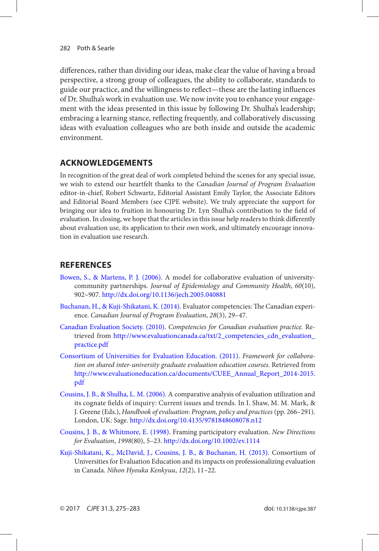<span id="page-7-0"></span>differences, rather than dividing our ideas, make clear the value of having a broad perspective, a strong group of colleagues, the ability to collaborate, standards to guide our practice, and the willingness to reflect—these are the lasting influences of Dr. Shulha's work in evaluation use. We now invite you to enhance your engagement with the ideas presented in this issue by following Dr. Shulha's leadership; embracing a learning stance, reflecting frequently, and collaboratively discussing ideas with evaluation colleagues who are both inside and outside the academic environment.

# **ACKNOWLEDGEMENTS**

 In recognition of the great deal of work completed behind the scenes for any special issue, we wish to extend our heartfelt thanks to the Canadian Journal of Program Evaluation editor-in-chief, Robert Schwartz, Editorial Assistant Emily Taylor, the Associate Editors and Editorial Board Members (see CJPE website). We truly appreciate the support for bringing our idea to fruition in honouring Dr. Lyn Shulha's contribution to the field of evaluation. In closing, we hope that the articles in this issue help readers to think differently about evaluation use, its application to their own work, and ultimately encourage innovation in evaluation use research.

# **REFERENCES**

- Bowen, S., & Martens, P. J. (2006). A model for collaborative evaluation of universitycommunity partnerships. Journal of Epidemiology and Community Health, 60(10), 902 – 907 . <http://dx.doi.org/10.1136/jech.2005.040881>
- Buchanan, H., & Kuji-Shikatani, K. (2014). Evaluator competencies: The Canadian experience. Canadian Journal of Program Evaluation, 28(3), 29-47.
- Canadian Evaluation Society. (2010). Competencies for Canadian evaluation practice. Retrieved from [http://www.evaluationcanada.ca/txt/2\\_competencies\\_cdn\\_evaluation\\_](http://www.evaluationcanada.ca/txt/2_competencies_cdn_evaluation_practice.pdf) [practice.pdf](http://www.evaluationcanada.ca/txt/2_competencies_cdn_evaluation_practice.pdf)
- [Consortium of Universities for Evaluation Education . \( 2011 \)](#page-0-0). Framework for collaboration on shared inter-university graduate evaluation education courses . Retrieved from  [http://www.evaluationeducation.ca/documents/CUEE\\_Annual\\_Report\\_2014-2015.](http://www.evaluationeducation.ca/documents/CUEE_Annual_Report_2014-2015.pdf) [pdf](http://www.evaluationeducation.ca/documents/CUEE_Annual_Report_2014-2015.pdf)
- [Cousins , J. B. , & Shulha , L. M. \( 2006 \)](#page-2-0). A comparative analysis of evaluation utilization and its cognate fields of inquiry: Current issues and trends. In I. Shaw, M. M. Mark, & J. Greene (Eds.), Handbook of evaluation: Program, policy and practices (pp. 266-291). London, UK: Sage. http://dx.doi.org/10.4135/9781848608078.n12
- [Cousins , J. B. , & Whitmore , E. \( 1998 \)](#page-6-0). Framing participatory evaluation. New Directions for Evaluation, 1998(80), 5-23. http://dx.doi.org/10.1002/ev.1114
- Kuji-Shikatani, K., McDavid, J., Cousins, J. B., & Buchanan, H. (2013). Consortium of Universities for Evaluation Education and its impacts on professionalizing evaluation in Canada. Nihon Hyouka Kenkyuu, 12(2), 11-22.